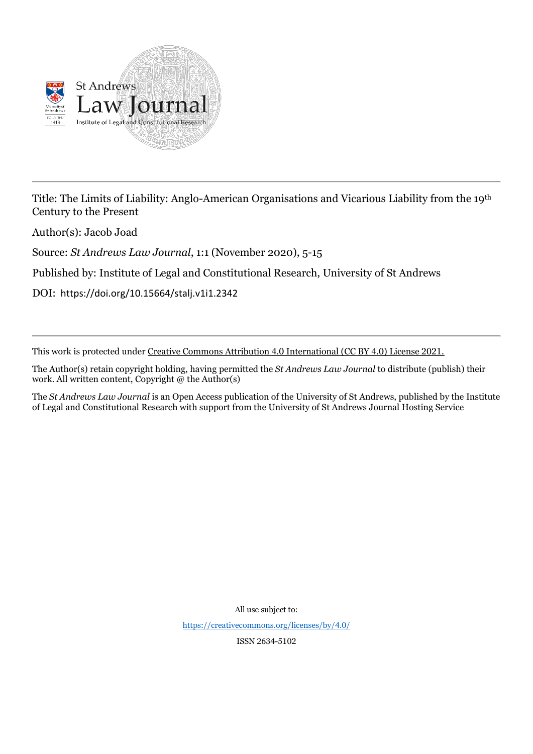

Title: The Limits of Liability: Anglo-American Organisations and Vicarious Liability from the 19th Century to the Present

Author(s): Jacob Joad

Source: *St Andrews Law Journal*, 1:1 (November 2020), 5-15

Published by: Institute of Legal and Constitutional Research, University of St Andrews

DOI: https://doi.org/10.15664/stalj.v1i1.2342

This work is protected under Creative Commons Attribution 4.0 International (CC BY 4.0) License 2021.

The Author(s) retain copyright holding, having permitted the *St Andrews Law Journal* to distribute (publish) their work. All written content, Copyright @ the Author(s)

The *St Andrews Law Journal* is an Open Access publication of the University of St Andrews, published by the Institute of Legal and Constitutional Research with support from the University of St Andrews Journal Hosting Service

All use subject to:

<https://creativecommons.org/licenses/by/4.0/>

ISSN 2634-5102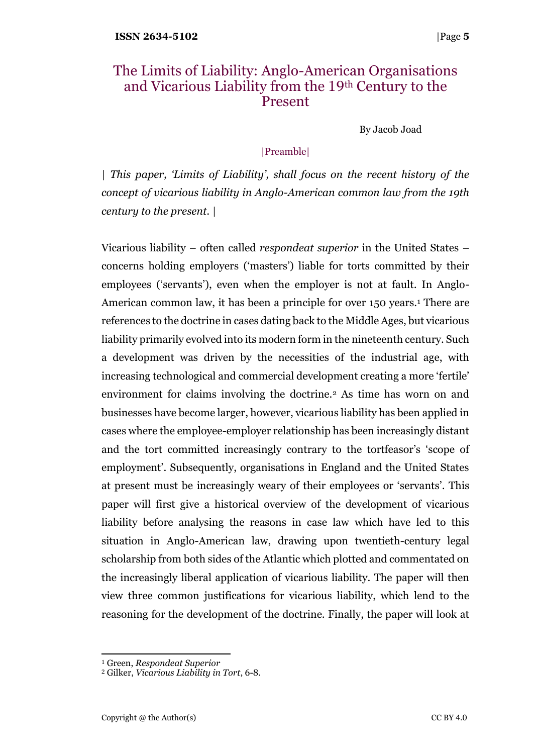# The Limits of Liability: Anglo-American Organisations and Vicarious Liability from the 19th Century to the Present

By Jacob Joad

# |Preamble|

| *This paper, 'Limits of Liability', shall focus on the recent history of the concept of vicarious liability in Anglo-American common law from the 19th century to the present.* |

Vicarious liability – often called *respondeat superior* in the United States – concerns holding employers ('masters') liable for torts committed by their employees ('servants'), even when the employer is not at fault. In Anglo-American common law, it has been a principle for over 150 years.<sup>1</sup> There are references to the doctrine in cases dating back to the Middle Ages, but vicarious liability primarily evolved into its modern form in the nineteenth century. Such a development was driven by the necessities of the industrial age, with increasing technological and commercial development creating a more 'fertile' environment for claims involving the doctrine.<sup>2</sup> As time has worn on and businesses have become larger, however, vicarious liability has been applied in cases where the employee-employer relationship has been increasingly distant and the tort committed increasingly contrary to the tortfeasor's 'scope of employment'. Subsequently, organisations in England and the United States at present must be increasingly weary of their employees or 'servants'. This paper will first give a historical overview of the development of vicarious liability before analysing the reasons in case law which have led to this situation in Anglo-American law, drawing upon twentieth-century legal scholarship from both sides of the Atlantic which plotted and commentated on the increasingly liberal application of vicarious liability. The paper will then view three common justifications for vicarious liability, which lend to the reasoning for the development of the doctrine. Finally, the paper will look at

<sup>1</sup> Green, *Respondeat Superior*

<sup>2</sup> Gilker, *Vicarious Liability in Tort*, 6-8.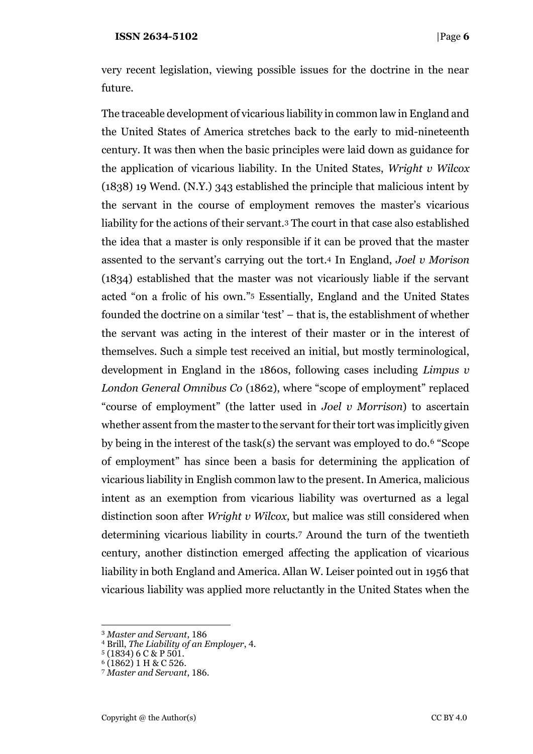very recent legislation, viewing possible issues for the doctrine in the near future.

The traceable development of vicarious liability in common law in England and the United States of America stretches back to the early to mid-nineteenth century. It was then when the basic principles were laid down as guidance for the application of vicarious liability. In the United States, *Wright v Wilcox* (1838) 19 Wend. (N.Y.) 343 established the principle that malicious intent by the servant in the course of employment removes the master's vicarious liability for the actions of their servant.<sup>3</sup> The court in that case also established the idea that a master is only responsible if it can be proved that the master assented to the servant's carrying out the tort.<sup>4</sup> In England, *Joel v Morison* (1834) established that the master was not vicariously liable if the servant acted "on a frolic of his own."<sup>5</sup> Essentially, England and the United States founded the doctrine on a similar 'test' – that is, the establishment of whether the servant was acting in the interest of their master or in the interest of themselves. Such a simple test received an initial, but mostly terminological, development in England in the 1860s, following cases including *Limpus v London General Omnibus Co* (1862), where "scope of employment" replaced "course of employment" (the latter used in *Joel v Morrison*) to ascertain whether assent from the master to the servant for their tort was implicitly given by being in the interest of the task(s) the servant was employed to do.<sup>6</sup> "Scope of employment" has since been a basis for determining the application of vicarious liability in English common law to the present. In America, malicious intent as an exemption from vicarious liability was overturned as a legal distinction soon after *Wright v Wilcox*, but malice was still considered when determining vicarious liability in courts.<sup>7</sup> Around the turn of the twentieth century, another distinction emerged affecting the application of vicarious liability in both England and America. Allan W. Leiser pointed out in 1956 that vicarious liability was applied more reluctantly in the United States when the

<sup>3</sup> *Master and Servant*, 186

<sup>4</sup> Brill, *The Liability of an Employer*, 4.

 $5(1834)$  6 C & P  $501$ .

<sup>6</sup> (1862) 1 H & C 526.

<sup>7</sup> *Master and Servant*, 186.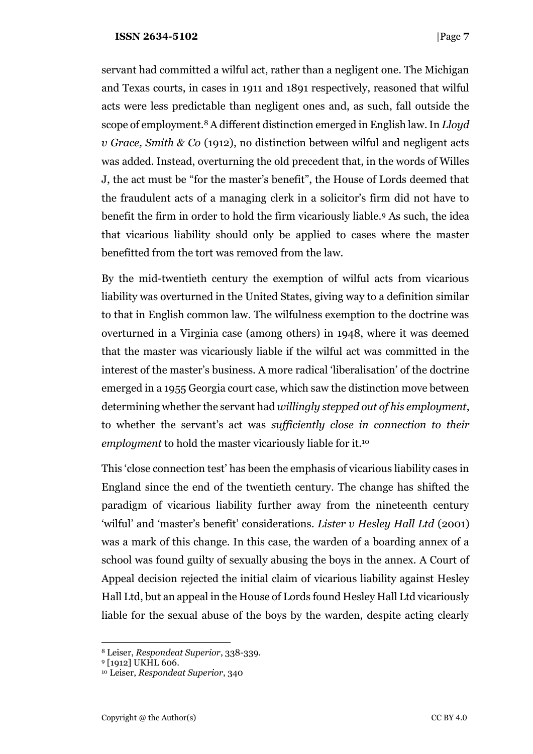servant had committed a wilful act, rather than a negligent one. The Michigan and Texas courts, in cases in 1911 and 1891 respectively, reasoned that wilful acts were less predictable than negligent ones and, as such, fall outside the scope of employment.<sup>8</sup> A different distinction emerged in English law. In *Lloyd v Grace, Smith & Co* (1912), no distinction between wilful and negligent acts was added. Instead, overturning the old precedent that, in the words of Willes J, the act must be "for the master's benefit", the House of Lords deemed that the fraudulent acts of a managing clerk in a solicitor's firm did not have to benefit the firm in order to hold the firm vicariously liable.<sup>9</sup> As such, the idea that vicarious liability should only be applied to cases where the master benefitted from the tort was removed from the law.

By the mid-twentieth century the exemption of wilful acts from vicarious liability was overturned in the United States, giving way to a definition similar to that in English common law. The wilfulness exemption to the doctrine was overturned in a Virginia case (among others) in 1948, where it was deemed that the master was vicariously liable if the wilful act was committed in the interest of the master's business. A more radical 'liberalisation' of the doctrine emerged in a 1955 Georgia court case, which saw the distinction move between determining whether the servant had *willingly stepped out of his employment*, to whether the servant's act was *sufficiently close in connection to their employment* to hold the master vicariously liable for it.<sup>10</sup>

This 'close connection test' has been the emphasis of vicarious liability cases in England since the end of the twentieth century. The change has shifted the paradigm of vicarious liability further away from the nineteenth century 'wilful' and 'master's benefit' considerations. *Lister v Hesley Hall Ltd* (2001) was a mark of this change. In this case, the warden of a boarding annex of a school was found guilty of sexually abusing the boys in the annex. A Court of Appeal decision rejected the initial claim of vicarious liability against Hesley Hall Ltd, but an appeal in the House of Lords found Hesley Hall Ltd vicariously liable for the sexual abuse of the boys by the warden, despite acting clearly

<sup>8</sup> Leiser, *Respondeat Superior*, 338-339.

<sup>9</sup> [1912] UKHL 606.

<sup>10</sup> Leiser, *Respondeat Superior*, 340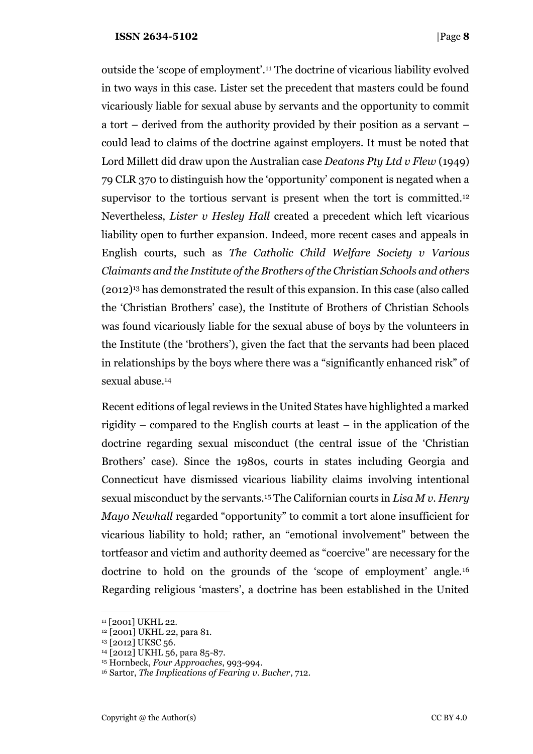outside the 'scope of employment'.<sup>11</sup> The doctrine of vicarious liability evolved in two ways in this case. Lister set the precedent that masters could be found vicariously liable for sexual abuse by servants and the opportunity to commit a tort – derived from the authority provided by their position as a servant – could lead to claims of the doctrine against employers. It must be noted that Lord Millett did draw upon the Australian case *Deatons Pty Ltd v Flew* (1949) 79 CLR 370 to distinguish how the 'opportunity' component is negated when a supervisor to the tortious servant is present when the tort is committed.<sup>12</sup> Nevertheless, *Lister v Hesley Hall* created a precedent which left vicarious liability open to further expansion. Indeed, more recent cases and appeals in English courts, such as *The Catholic Child Welfare Society v Various Claimants and the Institute of the Brothers of the Christian Schools and others*  (2012)<sup>13</sup> has demonstrated the result of this expansion. In this case (also called the 'Christian Brothers' case), the Institute of Brothers of Christian Schools was found vicariously liable for the sexual abuse of boys by the volunteers in the Institute (the 'brothers'), given the fact that the servants had been placed in relationships by the boys where there was a "significantly enhanced risk" of sexual abuse.<sup>14</sup>

Recent editions of legal reviews in the United States have highlighted a marked rigidity – compared to the English courts at least – in the application of the doctrine regarding sexual misconduct (the central issue of the 'Christian Brothers' case). Since the 1980s, courts in states including Georgia and Connecticut have dismissed vicarious liability claims involving intentional sexual misconduct by the servants.<sup>15</sup> The Californian courts in *Lisa M v. Henry Mayo Newhall* regarded "opportunity" to commit a tort alone insufficient for vicarious liability to hold; rather, an "emotional involvement" between the tortfeasor and victim and authority deemed as "coercive" are necessary for the doctrine to hold on the grounds of the 'scope of employment' angle.<sup>16</sup> Regarding religious 'masters', a doctrine has been established in the United

<sup>&</sup>lt;sup>11</sup> [2001] UKHL 22.

<sup>12</sup> [2001] UKHL 22, para 81.

<sup>&</sup>lt;sup>13</sup> [2012] UKSC 56.

<sup>14</sup> [2012] UKHL 56, para 85-87.

<sup>15</sup> Hornbeck, *Four Approaches*, 993-994.

<sup>16</sup> Sartor, *The Implications of Fearing v. Bucher*, 712.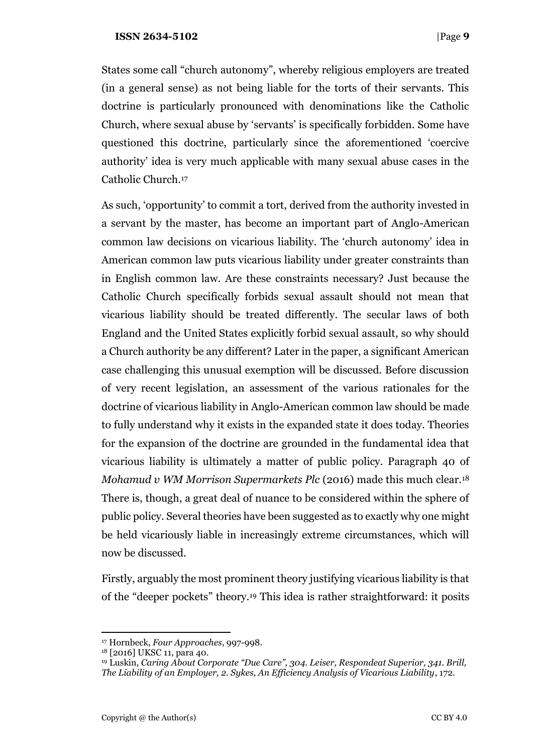States some call "church autonomy", whereby religious employers are treated (in a general sense) as not being liable for the torts of their servants. This doctrine is particularly pronounced with denominations like the Catholic Church, where sexual abuse by 'servants' is specifically forbidden. Some have questioned this doctrine, particularly since the aforementioned 'coercive authority' idea is very much applicable with many sexual abuse cases in the Catholic Church.<sup>17</sup>

As such, 'opportunity' to commit a tort, derived from the authority invested in a servant by the master, has become an important part of Anglo-American common law decisions on vicarious liability. The 'church autonomy' idea in American common law puts vicarious liability under greater constraints than in English common law. Are these constraints necessary? Just because the Catholic Church specifically forbids sexual assault should not mean that vicarious liability should be treated differently. The secular laws of both England and the United States explicitly forbid sexual assault, so why should a Church authority be any different? Later in the paper, a significant American case challenging this unusual exemption will be discussed. Before discussion of very recent legislation, an assessment of the various rationales for the doctrine of vicarious liability in Anglo-American common law should be made to fully understand why it exists in the expanded state it does today. Theories for the expansion of the doctrine are grounded in the fundamental idea that vicarious liability is ultimately a matter of public policy. Paragraph 40 of *Mohamud v WM Morrison Supermarkets Plc* (2016) made this much clear.<sup>18</sup> There is, though, a great deal of nuance to be considered within the sphere of public policy. Several theories have been suggested as to exactly why one might be held vicariously liable in increasingly extreme circumstances, which will now be discussed.

Firstly, arguably the most prominent theory justifying vicarious liability is that of the "deeper pockets" theory.<sup>19</sup> This idea is rather straightforward: it posits

<sup>17</sup> Hornbeck, *Four Approaches*, 997-998.

<sup>18</sup> [2016] UKSC 11, para 40.

<sup>19</sup> Luskin, *Caring About Corporate "Due Care", 304. Leiser, Respondeat Superior, 341. Brill, The Liability of an Employer, 2. Sykes, An Efficiency Analysis of Vicarious Liability*, 172.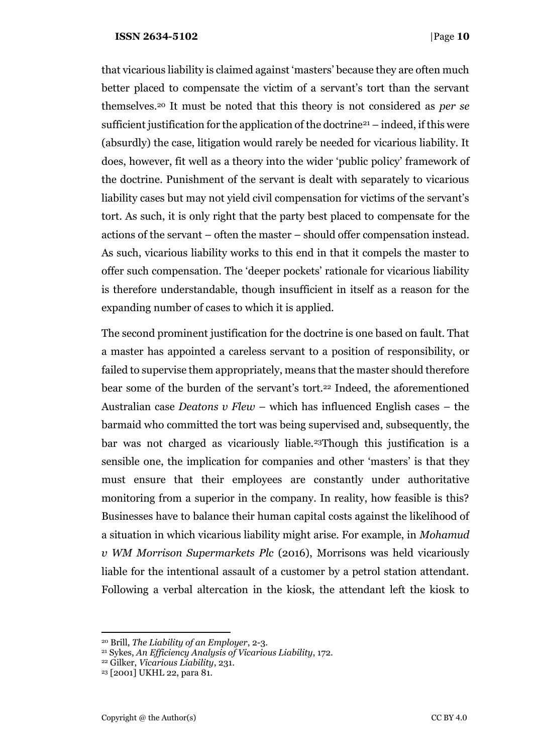that vicarious liability is claimed against 'masters' because they are often much better placed to compensate the victim of a servant's tort than the servant themselves.<sup>20</sup> It must be noted that this theory is not considered as *per se* sufficient justification for the application of the doctrine<sup>21</sup> – indeed, if this were (absurdly) the case, litigation would rarely be needed for vicarious liability. It does, however, fit well as a theory into the wider 'public policy' framework of the doctrine. Punishment of the servant is dealt with separately to vicarious liability cases but may not yield civil compensation for victims of the servant's tort. As such, it is only right that the party best placed to compensate for the actions of the servant – often the master – should offer compensation instead. As such, vicarious liability works to this end in that it compels the master to offer such compensation. The 'deeper pockets' rationale for vicarious liability is therefore understandable, though insufficient in itself as a reason for the expanding number of cases to which it is applied.

The second prominent justification for the doctrine is one based on fault. That a master has appointed a careless servant to a position of responsibility, or failed to supervise them appropriately, means that the master should therefore bear some of the burden of the servant's tort.<sup>22</sup> Indeed, the aforementioned Australian case *Deatons v Flew* – which has influenced English cases – the barmaid who committed the tort was being supervised and, subsequently, the bar was not charged as vicariously liable.23Though this justification is a sensible one, the implication for companies and other 'masters' is that they must ensure that their employees are constantly under authoritative monitoring from a superior in the company. In reality, how feasible is this? Businesses have to balance their human capital costs against the likelihood of a situation in which vicarious liability might arise. For example, in *Mohamud v WM Morrison Supermarkets Plc* (2016), Morrisons was held vicariously liable for the intentional assault of a customer by a petrol station attendant. Following a verbal altercation in the kiosk, the attendant left the kiosk to

<sup>20</sup> Brill, *The Liability of an Employer*, 2-3.

<sup>21</sup> Sykes, *An Efficiency Analysis of Vicarious Liability*, 172.

<sup>22</sup> Gilker, *Vicarious Liability*, 231.

<sup>23</sup> [2001] UKHL 22, para 81.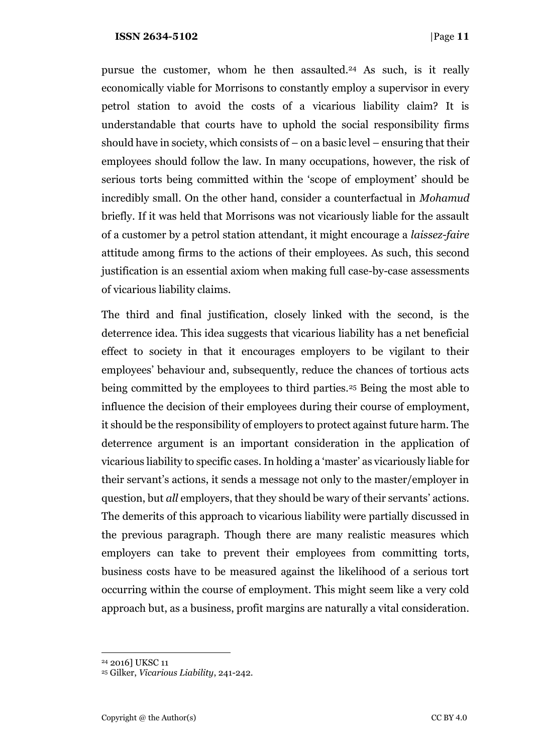pursue the customer, whom he then assaulted.<sup>24</sup> As such, is it really economically viable for Morrisons to constantly employ a supervisor in every petrol station to avoid the costs of a vicarious liability claim? It is understandable that courts have to uphold the social responsibility firms should have in society, which consists of – on a basic level – ensuring that their employees should follow the law. In many occupations, however, the risk of serious torts being committed within the 'scope of employment' should be incredibly small. On the other hand, consider a counterfactual in *Mohamud* briefly. If it was held that Morrisons was not vicariously liable for the assault of a customer by a petrol station attendant, it might encourage a *laissez-faire* attitude among firms to the actions of their employees. As such, this second justification is an essential axiom when making full case-by-case assessments of vicarious liability claims.

The third and final justification, closely linked with the second, is the deterrence idea. This idea suggests that vicarious liability has a net beneficial effect to society in that it encourages employers to be vigilant to their employees' behaviour and, subsequently, reduce the chances of tortious acts being committed by the employees to third parties.<sup>25</sup> Being the most able to influence the decision of their employees during their course of employment, it should be the responsibility of employers to protect against future harm. The deterrence argument is an important consideration in the application of vicarious liability to specific cases. In holding a 'master' as vicariously liable for their servant's actions, it sends a message not only to the master/employer in question, but *all* employers, that they should be wary of their servants' actions. The demerits of this approach to vicarious liability were partially discussed in the previous paragraph. Though there are many realistic measures which employers can take to prevent their employees from committing torts, business costs have to be measured against the likelihood of a serious tort occurring within the course of employment. This might seem like a very cold approach but, as a business, profit margins are naturally a vital consideration.

<sup>24</sup> 2016] UKSC 11

<sup>25</sup> Gilker, *Vicarious Liability*, 241-242.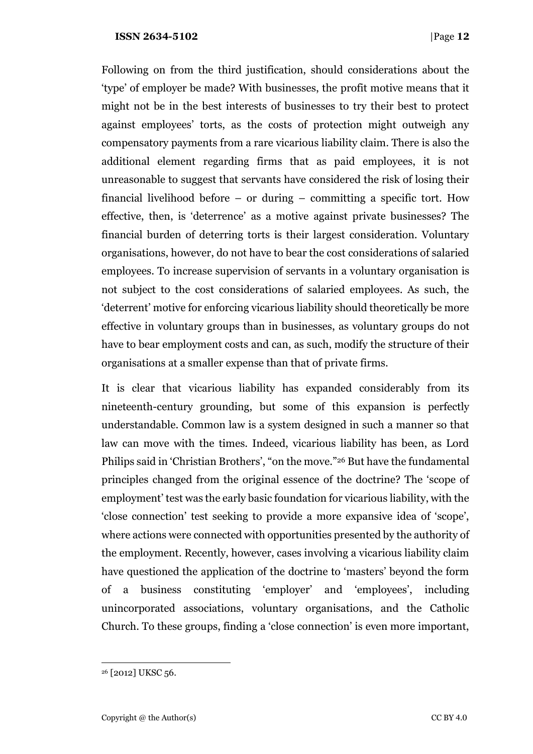Following on from the third justification, should considerations about the 'type' of employer be made? With businesses, the profit motive means that it might not be in the best interests of businesses to try their best to protect against employees' torts, as the costs of protection might outweigh any compensatory payments from a rare vicarious liability claim. There is also the additional element regarding firms that as paid employees, it is not unreasonable to suggest that servants have considered the risk of losing their financial livelihood before – or during – committing a specific tort. How effective, then, is 'deterrence' as a motive against private businesses? The financial burden of deterring torts is their largest consideration. Voluntary organisations, however, do not have to bear the cost considerations of salaried employees. To increase supervision of servants in a voluntary organisation is not subject to the cost considerations of salaried employees. As such, the 'deterrent' motive for enforcing vicarious liability should theoretically be more effective in voluntary groups than in businesses, as voluntary groups do not have to bear employment costs and can, as such, modify the structure of their organisations at a smaller expense than that of private firms.

It is clear that vicarious liability has expanded considerably from its nineteenth-century grounding, but some of this expansion is perfectly understandable. Common law is a system designed in such a manner so that law can move with the times. Indeed, vicarious liability has been, as Lord Philips said in 'Christian Brothers', "on the move."<sup>26</sup> But have the fundamental principles changed from the original essence of the doctrine? The 'scope of employment' test was the early basic foundation for vicarious liability, with the 'close connection' test seeking to provide a more expansive idea of 'scope', where actions were connected with opportunities presented by the authority of the employment. Recently, however, cases involving a vicarious liability claim have questioned the application of the doctrine to 'masters' beyond the form of a business constituting 'employer' and 'employees', including unincorporated associations, voluntary organisations, and the Catholic Church. To these groups, finding a 'close connection' is even more important,

<sup>&</sup>lt;sup>26</sup> [2012] UKSC 56.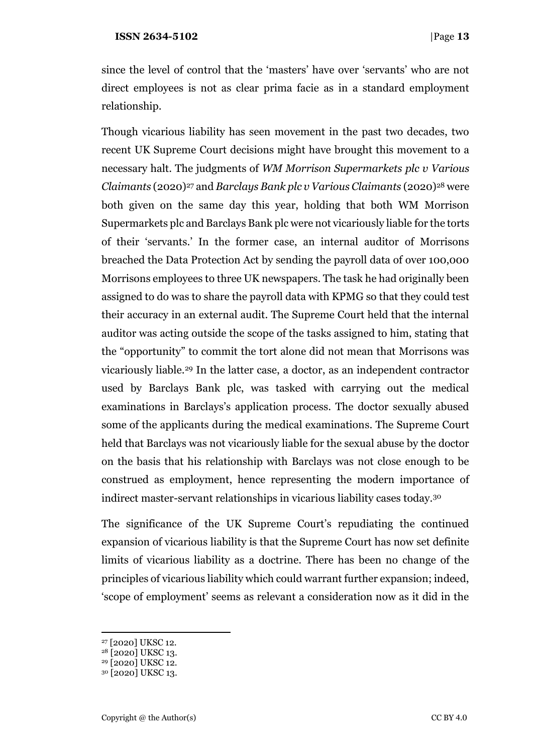since the level of control that the 'masters' have over 'servants' who are not direct employees is not as clear prima facie as in a standard employment relationship.

Though vicarious liability has seen movement in the past two decades, two recent UK Supreme Court decisions might have brought this movement to a necessary halt. The judgments of *WM Morrison Supermarkets plc v Various Claimants* (2020)<sup>27</sup> and *Barclays Bank plc v Various Claimants* (2020)<sup>28</sup> were both given on the same day this year, holding that both WM Morrison Supermarkets plc and Barclays Bank plc were not vicariously liable for the torts of their 'servants.' In the former case, an internal auditor of Morrisons breached the Data Protection Act by sending the payroll data of over 100,000 Morrisons employees to three UK newspapers. The task he had originally been assigned to do was to share the payroll data with KPMG so that they could test their accuracy in an external audit. The Supreme Court held that the internal auditor was acting outside the scope of the tasks assigned to him, stating that the "opportunity" to commit the tort alone did not mean that Morrisons was vicariously liable.<sup>29</sup> In the latter case, a doctor, as an independent contractor used by Barclays Bank plc, was tasked with carrying out the medical examinations in Barclays's application process. The doctor sexually abused some of the applicants during the medical examinations. The Supreme Court held that Barclays was not vicariously liable for the sexual abuse by the doctor on the basis that his relationship with Barclays was not close enough to be construed as employment, hence representing the modern importance of indirect master-servant relationships in vicarious liability cases today.<sup>30</sup>

The significance of the UK Supreme Court's repudiating the continued expansion of vicarious liability is that the Supreme Court has now set definite limits of vicarious liability as a doctrine. There has been no change of the principles of vicarious liability which could warrant further expansion; indeed, 'scope of employment' seems as relevant a consideration now as it did in the

<sup>27</sup> [2020] UKSC 12.

<sup>&</sup>lt;sup>28</sup> [2020] UKSC 13.

<sup>29</sup> [2020] UKSC 12.

<sup>30</sup> [2020] UKSC 13.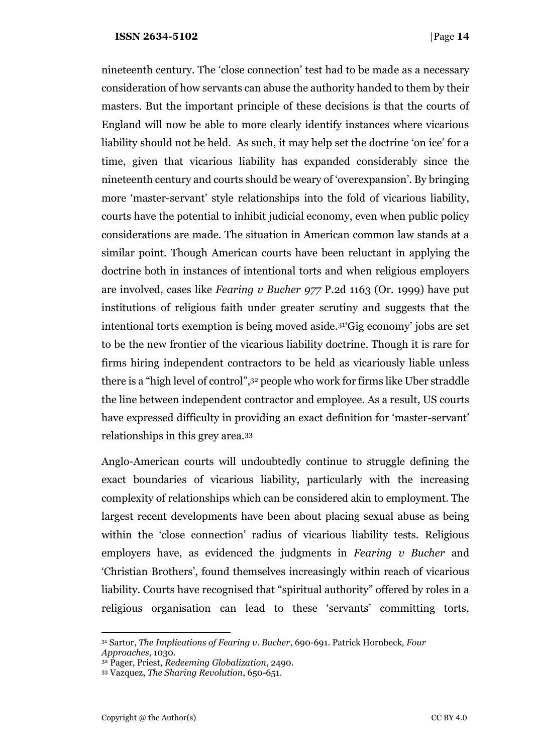nineteenth century. The 'close connection' test had to be made as a necessary consideration of how servants can abuse the authority handed to them by their masters. But the important principle of these decisions is that the courts of England will now be able to more clearly identify instances where vicarious liability should not be held. As such, it may help set the doctrine 'on ice' for a time, given that vicarious liability has expanded considerably since the nineteenth century and courts should be weary of 'overexpansion'. By bringing more 'master-servant' style relationships into the fold of vicarious liability, courts have the potential to inhibit judicial economy, even when public policy considerations are made. The situation in American common law stands at a similar point. Though American courts have been reluctant in applying the doctrine both in instances of intentional torts and when religious employers are involved, cases like *Fearing v Bucher 977* P.2d 1163 (Or. 1999) have put institutions of religious faith under greater scrutiny and suggests that the intentional torts exemption is being moved aside.31'Gig economy' jobs are set to be the new frontier of the vicarious liability doctrine. Though it is rare for firms hiring independent contractors to be held as vicariously liable unless there is a "high level of control",<sup>32</sup> people who work for firms like Uber straddle the line between independent contractor and employee. As a result, US courts have expressed difficulty in providing an exact definition for 'master-servant' relationships in this grey area.<sup>33</sup>

Anglo-American courts will undoubtedly continue to struggle defining the exact boundaries of vicarious liability, particularly with the increasing complexity of relationships which can be considered akin to employment. The largest recent developments have been about placing sexual abuse as being within the 'close connection' radius of vicarious liability tests. Religious employers have, as evidenced the judgments in *Fearing v Bucher* and 'Christian Brothers', found themselves increasingly within reach of vicarious liability. Courts have recognised that "spiritual authority" offered by roles in a religious organisation can lead to these 'servants' committing torts,

<sup>31</sup> Sartor, *The Implications of Fearing v. Bucher*, 690-691. Patrick Hornbeck, *Four Approaches*, 1030.

<sup>32</sup> Pager, Priest, *Redeeming Globalization*, 2490.

<sup>33</sup> Vazquez, *The Sharing Revolution*, 650-651.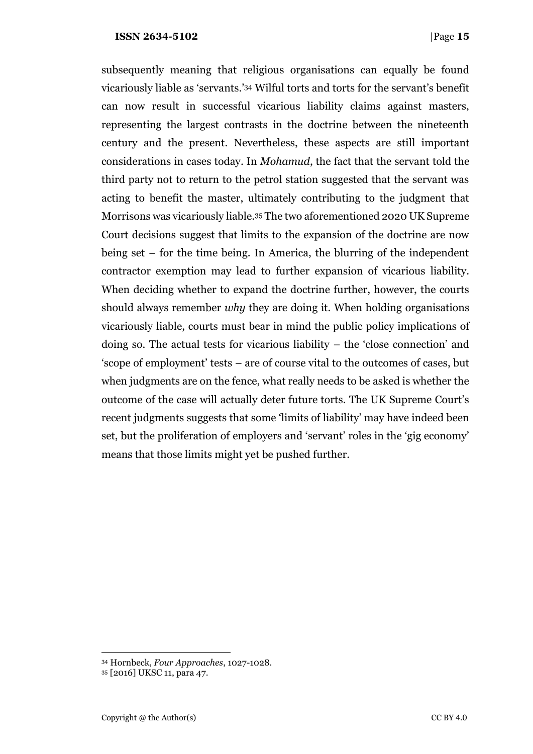subsequently meaning that religious organisations can equally be found vicariously liable as 'servants.'<sup>34</sup> Wilful torts and torts for the servant's benefit can now result in successful vicarious liability claims against masters, representing the largest contrasts in the doctrine between the nineteenth century and the present. Nevertheless, these aspects are still important considerations in cases today. In *Mohamud*, the fact that the servant told the third party not to return to the petrol station suggested that the servant was acting to benefit the master, ultimately contributing to the judgment that Morrisons was vicariously liable.<sup>35</sup> The two aforementioned 2020 UK Supreme Court decisions suggest that limits to the expansion of the doctrine are now being set – for the time being. In America, the blurring of the independent contractor exemption may lead to further expansion of vicarious liability. When deciding whether to expand the doctrine further, however, the courts should always remember *why* they are doing it. When holding organisations vicariously liable, courts must bear in mind the public policy implications of doing so. The actual tests for vicarious liability – the 'close connection' and 'scope of employment' tests – are of course vital to the outcomes of cases, but when judgments are on the fence, what really needs to be asked is whether the outcome of the case will actually deter future torts. The UK Supreme Court's recent judgments suggests that some 'limits of liability' may have indeed been set, but the proliferation of employers and 'servant' roles in the 'gig economy' means that those limits might yet be pushed further.

<sup>34</sup> Hornbeck, *Four Approaches*, 1027-1028.

<sup>35</sup> [2016] UKSC 11, para 47.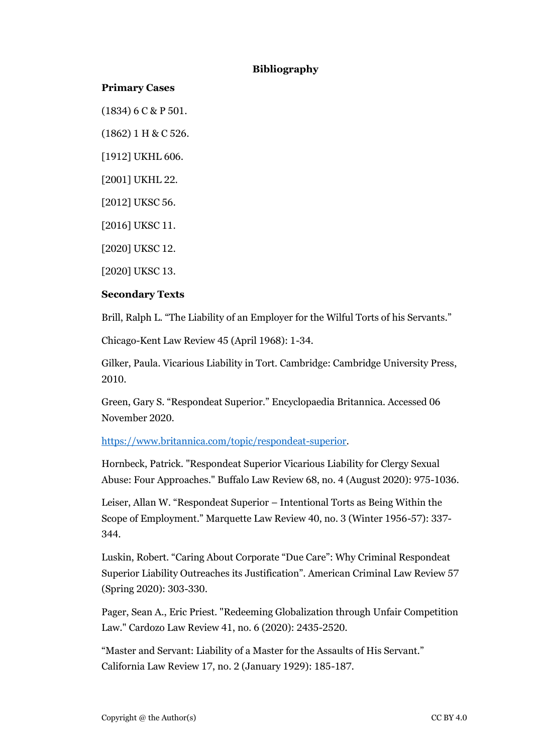## **Bibliography**

### **Primary Cases**

(1834) 6 C & P 501.

(1862) 1 H & C 526.

[1912] UKHL 606.

[2001] UKHL 22.

[2012] UKSC 56.

[2016] UKSC 11.

[2020] UKSC 12.

[2020] UKSC 13.

## **Secondary Texts**

Brill, Ralph L. "The Liability of an Employer for the Wilful Torts of his Servants."

Chicago-Kent Law Review 45 (April 1968): 1-34.

Gilker, Paula. Vicarious Liability in Tort. Cambridge: Cambridge University Press, 2010.

Green, Gary S. "Respondeat Superior." Encyclopaedia Britannica. Accessed 06 November 2020.

[https://www.britannica.com/topic/respondeat-superior.](https://www.britannica.com/topic/respondeat-superior)

Hornbeck, Patrick. "Respondeat Superior Vicarious Liability for Clergy Sexual Abuse: Four Approaches." Buffalo Law Review 68, no. 4 (August 2020): 975-1036.

Leiser, Allan W. "Respondeat Superior – Intentional Torts as Being Within the Scope of Employment." Marquette Law Review 40, no. 3 (Winter 1956-57): 337- 344.

Luskin, Robert. "Caring About Corporate "Due Care": Why Criminal Respondeat Superior Liability Outreaches its Justification". American Criminal Law Review 57 (Spring 2020): 303-330.

Pager, Sean A., Eric Priest. "Redeeming Globalization through Unfair Competition Law." Cardozo Law Review 41, no. 6 (2020): 2435-2520.

"Master and Servant: Liability of a Master for the Assaults of His Servant." California Law Review 17, no. 2 (January 1929): 185-187.